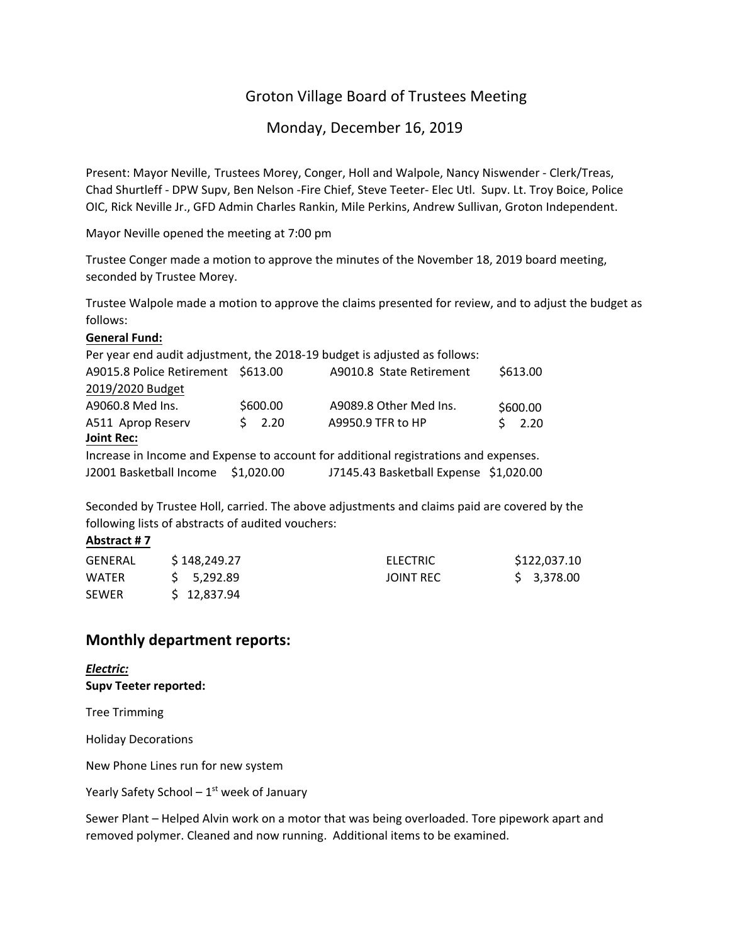# Groton Village Board of Trustees Meeting

Monday, December 16, 2019

Present: Mayor Neville, Trustees Morey, Conger, Holl and Walpole, Nancy Niswender ‐ Clerk/Treas, Chad Shurtleff ‐ DPW Supv, Ben Nelson ‐Fire Chief, Steve Teeter‐ Elec Utl. Supv. Lt. Troy Boice, Police OIC, Rick Neville Jr., GFD Admin Charles Rankin, Mile Perkins, Andrew Sullivan, Groton Independent.

Mayor Neville opened the meeting at 7:00 pm

Trustee Conger made a motion to approve the minutes of the November 18, 2019 board meeting, seconded by Trustee Morey.

Trustee Walpole made a motion to approve the claims presented for review, and to adjust the budget as follows:

#### **General Fund:**

|                                    |            | Per year end audit adjustment, the 2018-19 budget is adjusted as follows:            |          |
|------------------------------------|------------|--------------------------------------------------------------------------------------|----------|
| A9015.8 Police Retirement \$613.00 |            | A9010.8 State Retirement                                                             | \$613.00 |
| 2019/2020 Budget                   |            |                                                                                      |          |
| A9060.8 Med Ins.                   | \$600.00   | A9089.8 Other Med Ins.                                                               | \$600.00 |
| A511 Aprop Reserv                  | $5$ 2.20   | A9950.9 TFR to HP                                                                    | \$2.20   |
| <b>Joint Rec:</b>                  |            |                                                                                      |          |
|                                    |            | Increase in Income and Expense to account for additional registrations and expenses. |          |
| J2001 Basketball Income            | \$1,020.00 | J7145.43 Basketball Expense \$1,020.00                                               |          |

Seconded by Trustee Holl, carried. The above adjustments and claims paid are covered by the following lists of abstracts of audited vouchers:

#### **Abstract # 7**

| <b>GENERAL</b> | \$148,249.27 | <b>ELECTRIC</b>  | \$122,037.10 |
|----------------|--------------|------------------|--------------|
| <b>WATER</b>   | 5.292.89     | <b>JOINT REC</b> | \$ 3,378.00  |
| <b>SEWER</b>   | \$12,837.94  |                  |              |

## **Monthly department reports:**

*Electric:* **Supv Teeter reported:**

Tree Trimming

Holiday Decorations

New Phone Lines run for new system

Yearly Safety School  $-1<sup>st</sup>$  week of January

Sewer Plant – Helped Alvin work on a motor that was being overloaded. Tore pipework apart and removed polymer. Cleaned and now running. Additional items to be examined.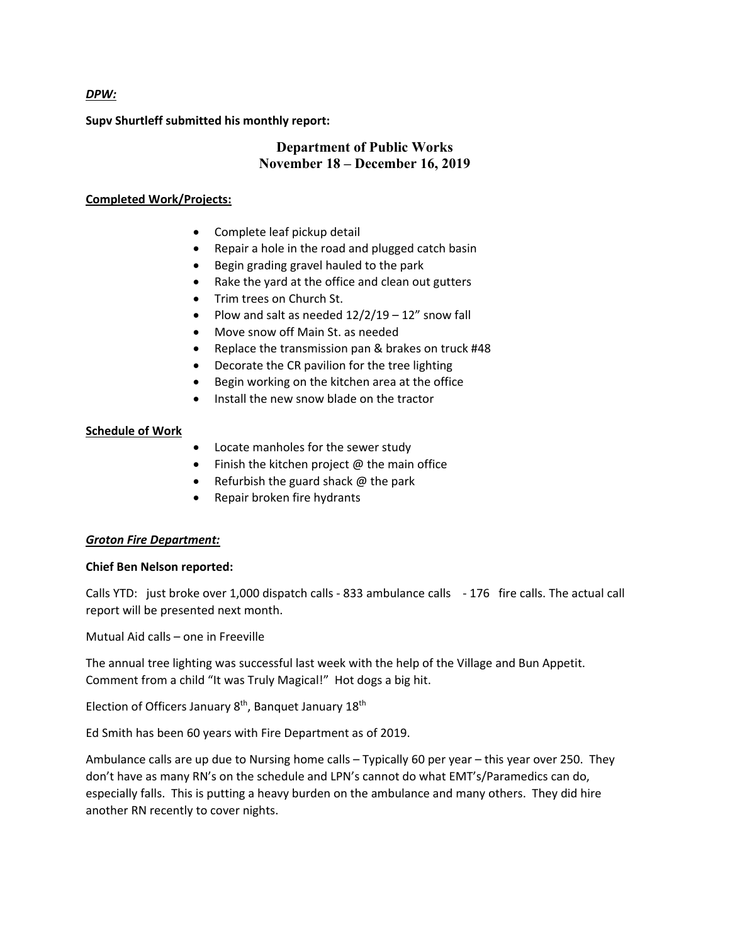#### *DPW:*

**Supv Shurtleff submitted his monthly report:**

## **Department of Public Works November 18 – December 16, 2019**

#### **Completed Work/Projects:**

- Complete leaf pickup detail
- Repair a hole in the road and plugged catch basin
- Begin grading gravel hauled to the park
- Rake the yard at the office and clean out gutters
- Trim trees on Church St.
- Plow and salt as needed  $12/2/19 12''$  snow fall
- Move snow off Main St. as needed
- Replace the transmission pan & brakes on truck #48
- Decorate the CR pavilion for the tree lighting
- Begin working on the kitchen area at the office
- Install the new snow blade on the tractor

## **Schedule of Work**

- Locate manholes for the sewer study
- $\bullet$  Finish the kitchen project  $@$  the main office
- Refurbish the guard shack  $\omega$  the park
- Repair broken fire hydrants

## *Groton Fire Department:*

## **Chief Ben Nelson reported:**

Calls YTD: just broke over 1,000 dispatch calls ‐ 833 ambulance calls ‐ 176 fire calls. The actual call report will be presented next month.

Mutual Aid calls – one in Freeville

The annual tree lighting was successful last week with the help of the Village and Bun Appetit. Comment from a child "It was Truly Magical!" Hot dogs a big hit.

Election of Officers January 8<sup>th</sup>, Banquet January 18<sup>th</sup>

Ed Smith has been 60 years with Fire Department as of 2019.

Ambulance calls are up due to Nursing home calls – Typically 60 per year – this year over 250. They don't have as many RN's on the schedule and LPN's cannot do what EMT's/Paramedics can do, especially falls. This is putting a heavy burden on the ambulance and many others. They did hire another RN recently to cover nights.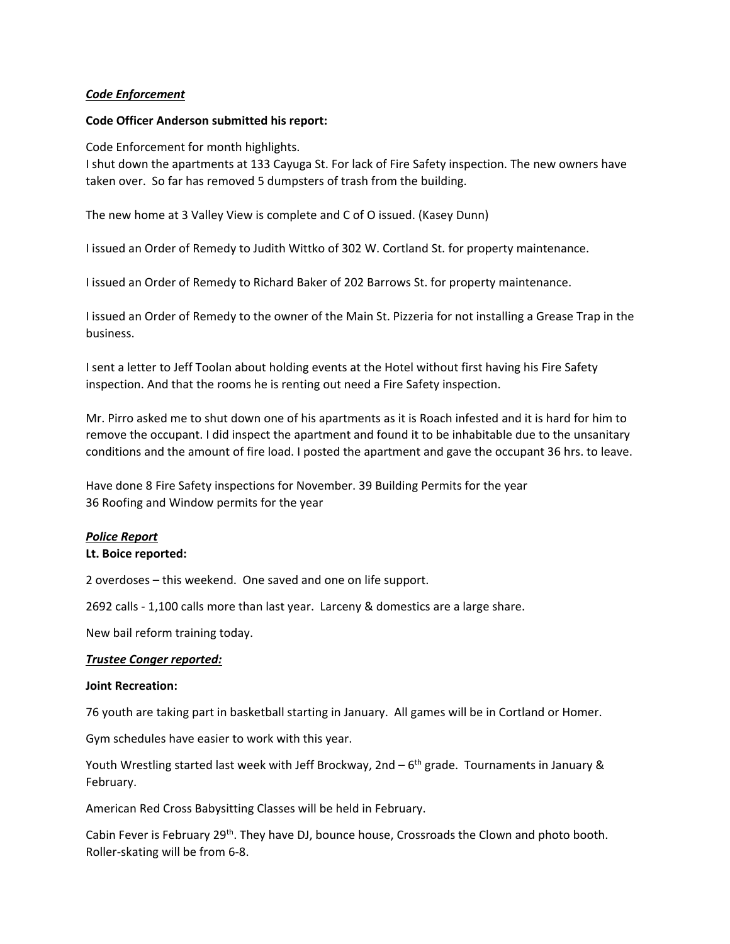#### *Code Enforcement*

#### **Code Officer Anderson submitted his report:**

Code Enforcement for month highlights.

I shut down the apartments at 133 Cayuga St. For lack of Fire Safety inspection. The new owners have taken over. So far has removed 5 dumpsters of trash from the building.

The new home at 3 Valley View is complete and C of O issued. (Kasey Dunn)

I issued an Order of Remedy to Judith Wittko of 302 W. Cortland St. for property maintenance.

I issued an Order of Remedy to Richard Baker of 202 Barrows St. for property maintenance.

I issued an Order of Remedy to the owner of the Main St. Pizzeria for not installing a Grease Trap in the business.

I sent a letter to Jeff Toolan about holding events at the Hotel without first having his Fire Safety inspection. And that the rooms he is renting out need a Fire Safety inspection.

Mr. Pirro asked me to shut down one of his apartments as it is Roach infested and it is hard for him to remove the occupant. I did inspect the apartment and found it to be inhabitable due to the unsanitary conditions and the amount of fire load. I posted the apartment and gave the occupant 36 hrs. to leave.

Have done 8 Fire Safety inspections for November. 39 Building Permits for the year 36 Roofing and Window permits for the year

## *Police Report*

## **Lt. Boice reported:**

2 overdoses – this weekend. One saved and one on life support.

2692 calls ‐ 1,100 calls more than last year. Larceny & domestics are a large share.

New bail reform training today.

## *Trustee Conger reported:*

#### **Joint Recreation:**

76 youth are taking part in basketball starting in January. All games will be in Cortland or Homer.

Gym schedules have easier to work with this year.

Youth Wrestling started last week with Jeff Brockway, 2nd  $-6^{th}$  grade. Tournaments in January & February.

American Red Cross Babysitting Classes will be held in February.

Cabin Fever is February 29<sup>th</sup>. They have DJ, bounce house, Crossroads the Clown and photo booth. Roller‐skating will be from 6‐8.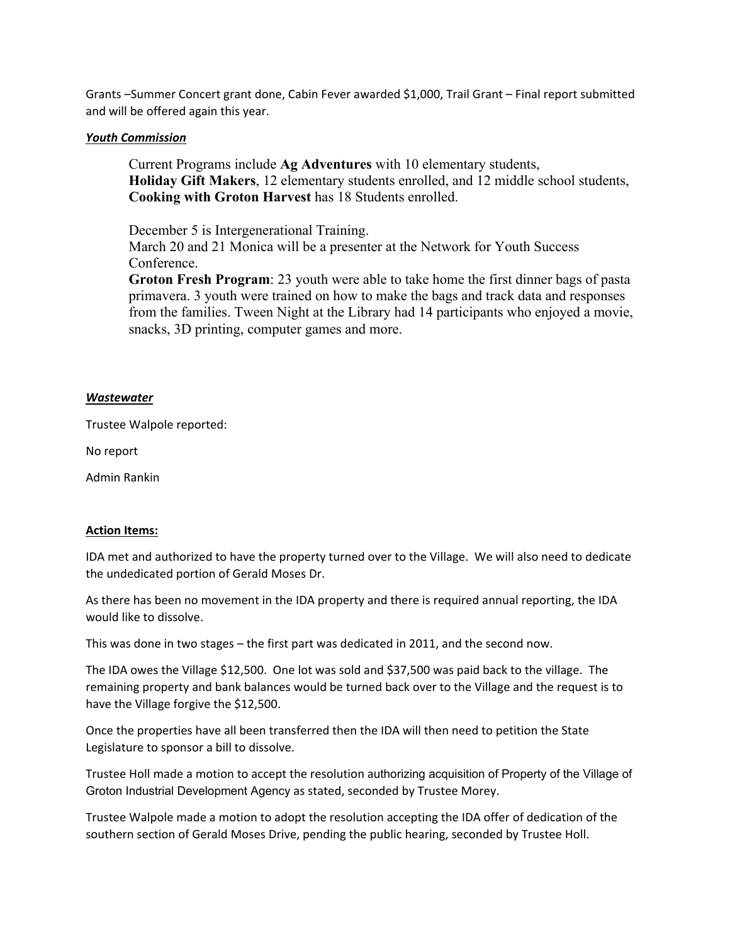Grants –Summer Concert grant done, Cabin Fever awarded \$1,000, Trail Grant – Final report submitted and will be offered again this year.

### *Youth Commission*

Current Programs include **Ag Adventures** with 10 elementary students, **Holiday Gift Makers**, 12 elementary students enrolled, and 12 middle school students, **Cooking with Groton Harvest** has 18 Students enrolled.

December 5 is Intergenerational Training.

March 20 and 21 Monica will be a presenter at the Network for Youth Success Conference.

**Groton Fresh Program**: 23 youth were able to take home the first dinner bags of pasta primavera. 3 youth were trained on how to make the bags and track data and responses from the families. Tween Night at the Library had 14 participants who enjoyed a movie, snacks, 3D printing, computer games and more.

#### *Wastewater*

Trustee Walpole reported:

No report

Admin Rankin

#### **Action Items:**

IDA met and authorized to have the property turned over to the Village. We will also need to dedicate the undedicated portion of Gerald Moses Dr.

As there has been no movement in the IDA property and there is required annual reporting, the IDA would like to dissolve.

This was done in two stages – the first part was dedicated in 2011, and the second now.

The IDA owes the Village \$12,500. One lot was sold and \$37,500 was paid back to the village. The remaining property and bank balances would be turned back over to the Village and the request is to have the Village forgive the \$12,500.

Once the properties have all been transferred then the IDA will then need to petition the State Legislature to sponsor a bill to dissolve.

Trustee Holl made a motion to accept the resolution authorizing acquisition of Property of the Village of Groton Industrial Development Agency as stated, seconded by Trustee Morey.

Trustee Walpole made a motion to adopt the resolution accepting the IDA offer of dedication of the southern section of Gerald Moses Drive, pending the public hearing, seconded by Trustee Holl.